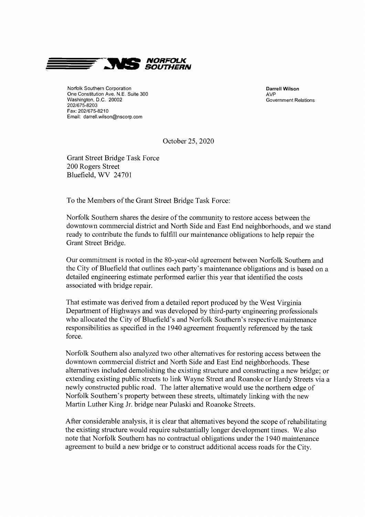

Norfolk Southern Corporation<br>
One Constitution Ave. N.E. Suite 300 <br>
Ave One Constitution Ave. N.E. Suite 300<br>
Washington, D.C. 20002<br>
Washington, D.C. 20002 Washington, D.C. 20002 202/675-8203 Fax: 202/675-8210 Email: darrell.wilson@nscorp.com

October 25, 2020

Grant Street Bridge Task Force 200 Rogers Street Bluefield, WV 24701

To the Members of the Grant Street Bridge Task Force:

Norfolk Southern shares the desire of the community to restore access between the downtown commercial district and North Side and East End neighborhoods, and we stand ready to contribute the funds to fulfill our maintenance obligations to help repair the Grant Street Bridge.

Our commitment is rooted in the 80 -year -old agreement between Norfolk Southern and the City of Bluefield that outlines each party's maintenance obligations and is based on a detailed engineering estimate performed earlier this year that identified the costs associated with bridge repair.

That estimate was derived from a detailed report produced by the West Virginia Department of Highways and was developed by third -party engineering professionals who allocated the City of Bluefield's and Norfolk Southern's respective maintenance responsibilities as specified in the 1940 agreement frequently referenced by the task force.

Norfolk Southern also analyzed two other alternatives for restoring access between the downtown commercial district and North Side and East End neighborhoods. These alternatives included demolishing the existing structure and constructing a new bridge; or extending existing public streets to link Wayne Street and Roanoke or Hardy Streets via a newly constructed public road. The latter alternative would use the northern edge of Norfolk Southern's property between these streets, ultimately linking with the new Martin Luther King Jr. bridge near Pulaski and Roanoke Streets.

After considerable analysis, it is clear that alternatives beyond the scope of rehabilitating the existing structure would require substantially longer development times. We also note that Norfolk Southern has no contractual obligations under the 1940 maintenance agreement to build a new bridge or to construct additional access roads for the City.